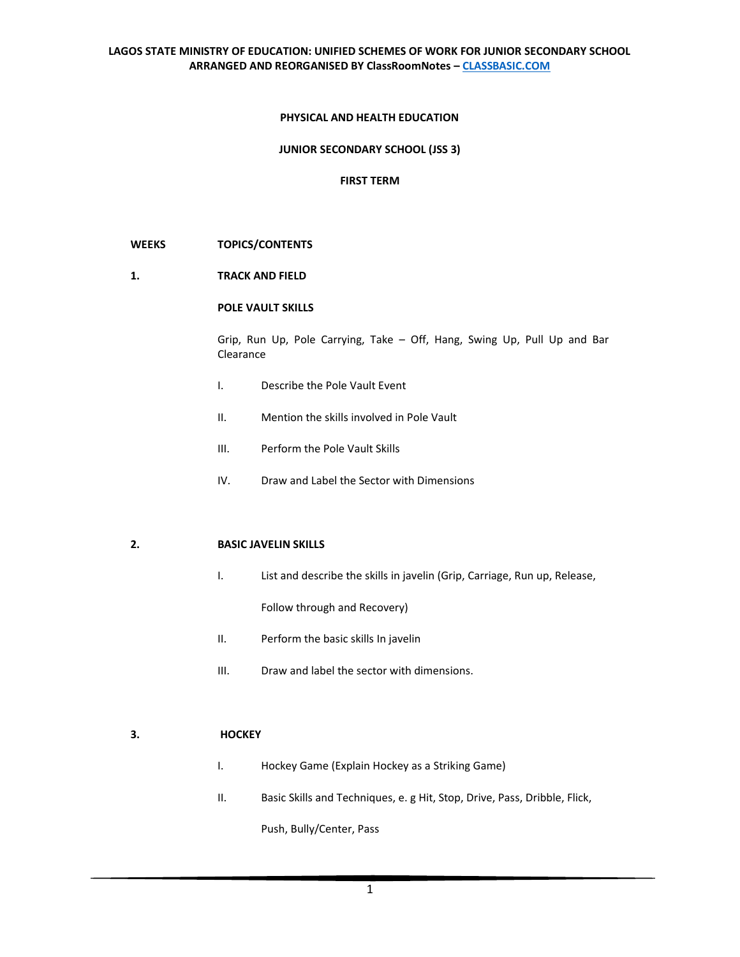#### **PHYSICAL AND HEALTH EDUCATION**

#### **JUNIOR SECONDARY SCHOOL (JSS 3)**

#### **FIRST TERM**

#### **WEEKS TOPICS/CONTENTS**

**1. TRACK AND FIELD** 

## **POLE VAULT SKILLS**

Grip, Run Up, Pole Carrying, Take – Off, Hang, Swing Up, Pull Up and Bar Clearance

- I. Describe the Pole Vault Event
- II. Mention the skills involved in Pole Vault
- III. Perform the Pole Vault Skills
- IV. Draw and Label the Sector with Dimensions

## **2. BASIC JAVELIN SKILLS**

I. List and describe the skills in javelin (Grip, Carriage, Run up, Release,

Follow through and Recovery)

- II. Perform the basic skills In javelin
- III. Draw and label the sector with dimensions.

# **3. HOCKEY**

- I. Hockey Game (Explain Hockey as a Striking Game)
- II. Basic Skills and Techniques, e. g Hit, Stop, Drive, Pass, Dribble, Flick,

Push, Bully/Center, Pass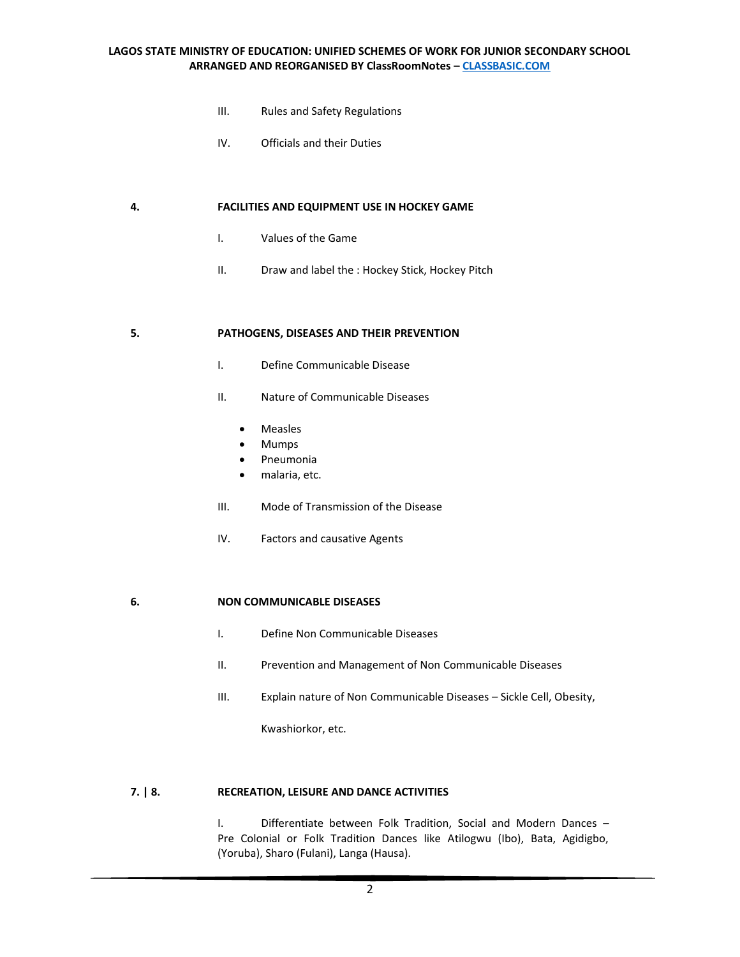- III. Rules and Safety Regulations
- IV. Officials and their Duties

#### **4. FACILITIES AND EQUIPMENT USE IN HOCKEY GAME**

- I. Values of the Game
- II. Draw and label the : Hockey Stick, Hockey Pitch

#### **5. PATHOGENS, DISEASES AND THEIR PREVENTION**

- I. Define Communicable Disease
- II. Nature of Communicable Diseases
	- Measles
	- Mumps
	- Pneumonia
	- malaria, etc.
- III. Mode of Transmission of the Disease
- IV. Factors and causative Agents

#### **6. NON COMMUNICABLE DISEASES**

- I. Define Non Communicable Diseases
- II. Prevention and Management of Non Communicable Diseases
- III. Explain nature of Non Communicable Diseases Sickle Cell, Obesity,

Kwashiorkor, etc.

#### **7. | 8. RECREATION, LEISURE AND DANCE ACTIVITIES**

I. Differentiate between Folk Tradition, Social and Modern Dances – Pre Colonial or Folk Tradition Dances like Atilogwu (Ibo), Bata, Agidigbo, (Yoruba), Sharo (Fulani), Langa (Hausa).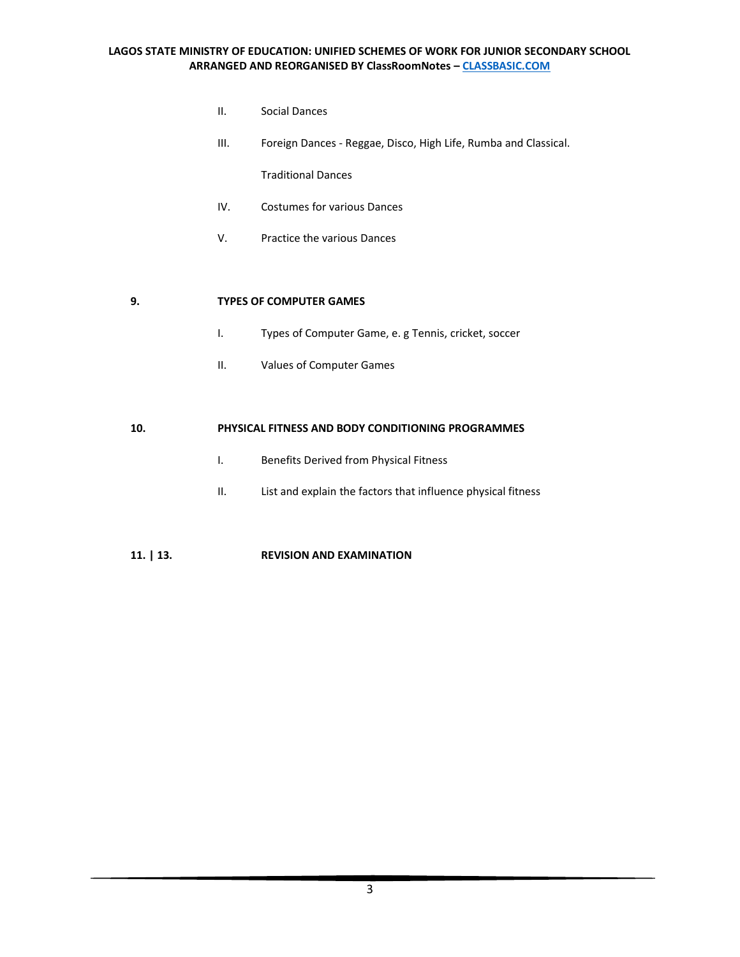- II. Social Dances
- III. Foreign Dances Reggae, Disco, High Life, Rumba and Classical.

Traditional Dances

- IV. Costumes for various Dances
- V. Practice the various Dances

# **9. TYPES OF COMPUTER GAMES**

- I. Types of Computer Game, e. g Tennis, cricket, soccer
- II. Values of Computer Games

#### **10. PHYSICAL FITNESS AND BODY CONDITIONING PROGRAMMES**

- I. Benefits Derived from Physical Fitness
- II. List and explain the factors that influence physical fitness

# **11. | 13. REVISION AND EXAMINATION**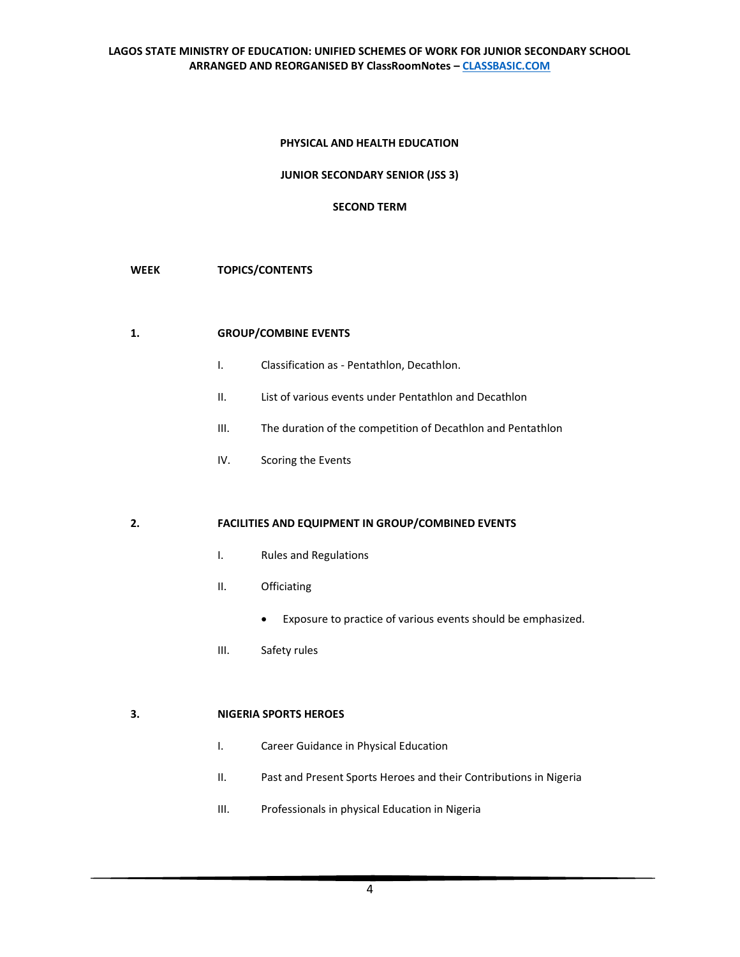# **PHYSICAL AND HEALTH EDUCATION**

**JUNIOR SECONDARY SENIOR (JSS 3)**

# **SECOND TERM**

# **WEEK TOPICS/CONTENTS**

# **1. GROUP/COMBINE EVENTS**

- I. Classification as Pentathlon, Decathlon.
- II. List of various events under Pentathlon and Decathlon
- III. The duration of the competition of Decathlon and Pentathlon
- IV. Scoring the Events

## **2. FACILITIES AND EQUIPMENT IN GROUP/COMBINED EVENTS**

- I. Rules and Regulations
- II. Officiating
	- Exposure to practice of various events should be emphasized.
- III. Safety rules

# **3. NIGERIA SPORTS HEROES**

- I. Career Guidance in Physical Education
- II. Past and Present Sports Heroes and their Contributions in Nigeria
- III. Professionals in physical Education in Nigeria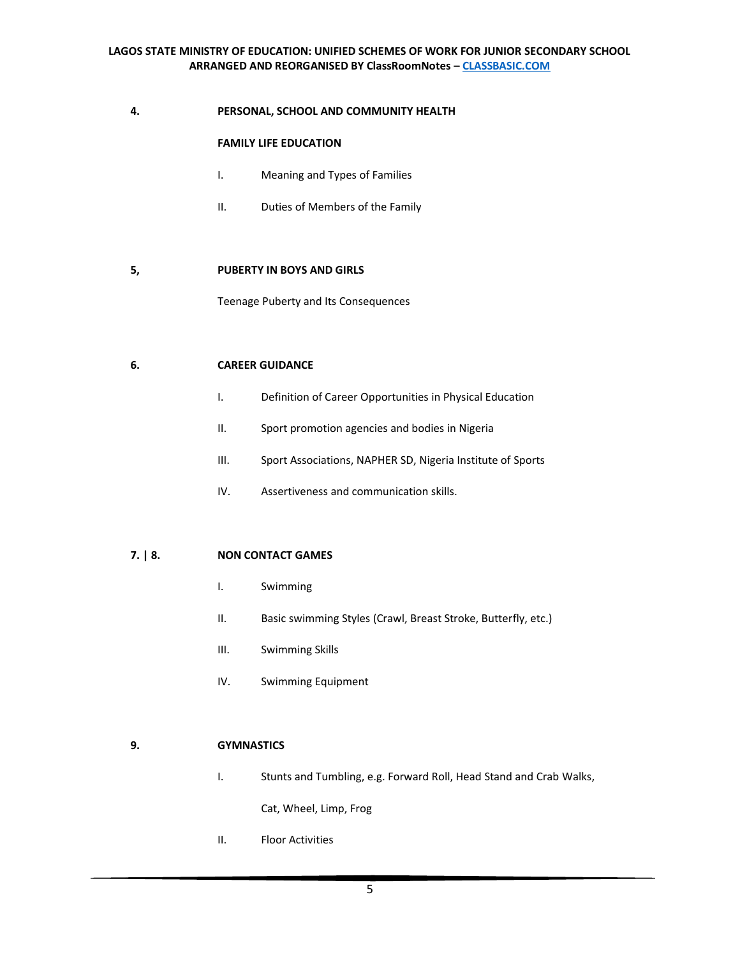# **4. PERSONAL, SCHOOL AND COMMUNITY HEALTH**

## **FAMILY LIFE EDUCATION**

- I. Meaning and Types of Families
- II. Duties of Members of the Family

## **5, PUBERTY IN BOYS AND GIRLS**

Teenage Puberty and Its Consequences

## **6. CAREER GUIDANCE**

- I. Definition of Career Opportunities in Physical Education
- II. Sport promotion agencies and bodies in Nigeria
- III. Sport Associations, NAPHER SD, Nigeria Institute of Sports
- IV. Assertiveness and communication skills.

# **7. | 8. NON CONTACT GAMES**

- I. Swimming
- II. Basic swimming Styles (Crawl, Breast Stroke, Butterfly, etc.)
- III. Swimming Skills
- IV. Swimming Equipment

# **9. GYMNASTICS**

I. Stunts and Tumbling, e.g. Forward Roll, Head Stand and Crab Walks,

Cat, Wheel, Limp, Frog

II. Floor Activities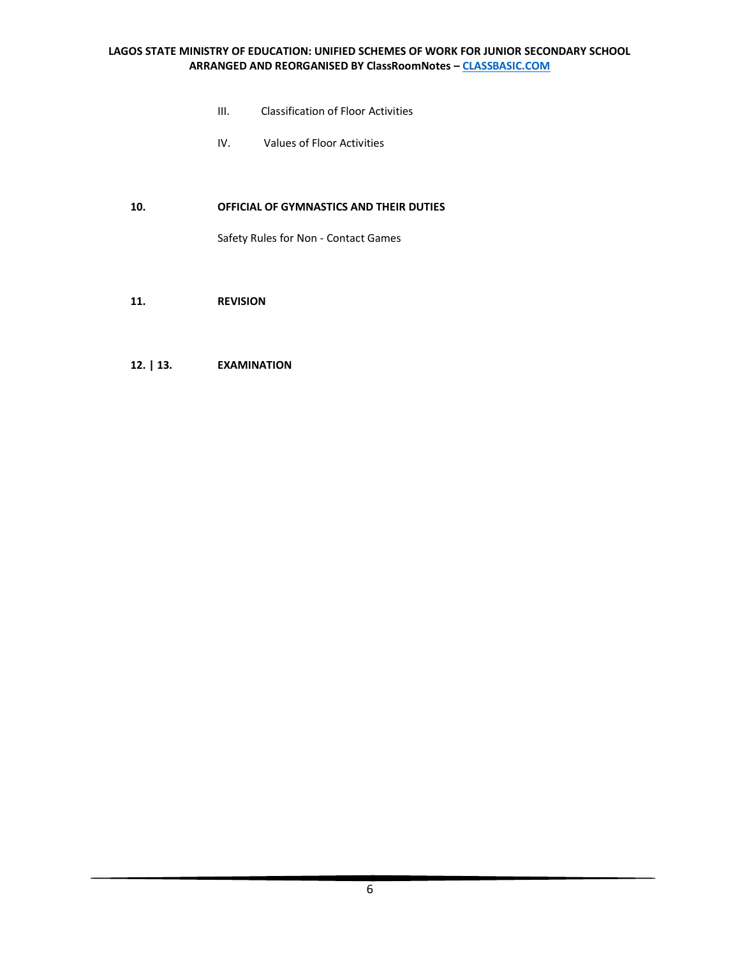- III. Classification of Floor Activities
- IV. Values of Floor Activities

# **10. OFFICIAL OF GYMNASTICS AND THEIR DUTIES**

Safety Rules for Non - Contact Games

**11. REVISION**

## **12. | 13. EXAMINATION**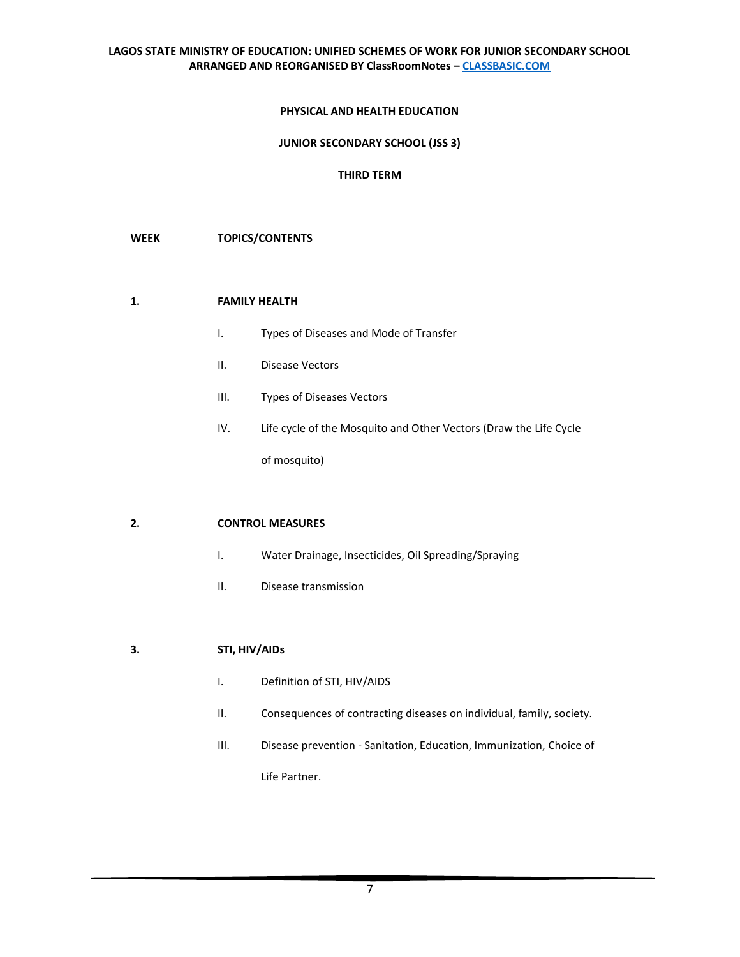## **PHYSICAL AND HEALTH EDUCATION**

#### **JUNIOR SECONDARY SCHOOL (JSS 3)**

# **THIRD TERM**

#### **WEEK TOPICS/CONTENTS**

# **1. FAMILY HEALTH**

- I. Types of Diseases and Mode of Transfer
- II. Disease Vectors
- III. Types of Diseases Vectors
- IV. Life cycle of the Mosquito and Other Vectors (Draw the Life Cycle

of mosquito)

#### **2. CONTROL MEASURES**

- I. Water Drainage, Insecticides, Oil Spreading/Spraying
- II. Disease transmission

## **3. STI, HIV/AIDs**

- I. Definition of STI, HIV/AIDS
- II. Consequences of contracting diseases on individual, family, society.
- III. Disease prevention Sanitation, Education, Immunization, Choice of

Life Partner.